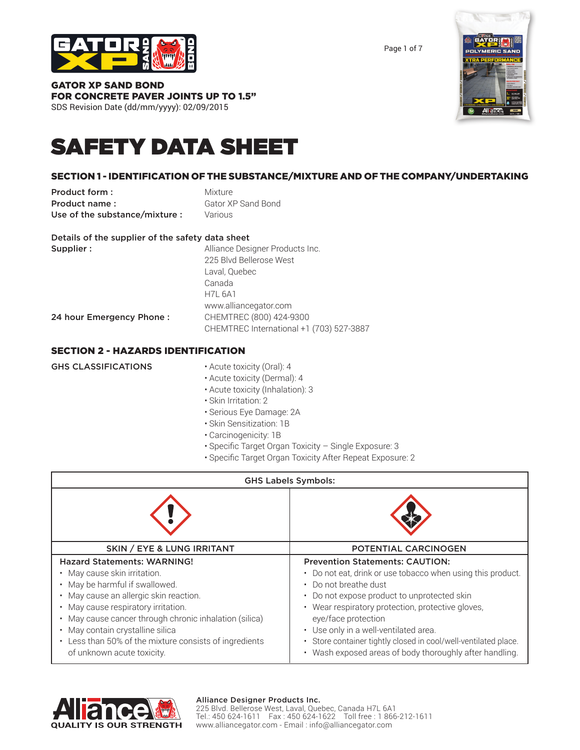

Page 1 of 7

#### GATOR XP SAND BOND FOR CONCRETE PAVER JOINTS UP TO 1.5" SDS Revision Date (dd/mm/yyyy): 02/09/2015

# SAFETY DATA SHEET

# SECTION 1 - IDENTIFICATION OF THE SUBSTANCE/MIXTURE AND OF THE COMPANY/UNDERTAKING

**Product form :** Mixture **Product name:** Gator XP Sand Bond Use of the substance/mixture : Various

|                          |  | Details of the supplier of the safety data sheet |  |  |  |
|--------------------------|--|--------------------------------------------------|--|--|--|
| $\overline{\phantom{a}}$ |  |                                                  |  |  |  |

| Supplier:                | Alliance Designer Products Inc.          |
|--------------------------|------------------------------------------|
|                          | 225 Blvd Bellerose West                  |
|                          | Laval, Quebec                            |
|                          | Canada                                   |
|                          | <b>H7L 6A1</b>                           |
|                          | www.alliancegator.com                    |
| 24 hour Emergency Phone: | CHEMTREC (800) 424-9300                  |
|                          | CHEMTREC International +1 (703) 527-3887 |

# SECTION 2 - HAZARDS IDENTIFICATION

| <b>GHS CLASSIFICATIONS</b> | • Acute toxicity (Oral): 4       |
|----------------------------|----------------------------------|
|                            | • Acute toxicity (Dermal): 4     |
|                            | • Acute toxicity (Inhalation): 3 |
|                            | • Skin Irritation: 2             |
|                            |                                  |

- Serious Eye Damage: 2A
- Skin Sensitization: 1B
- Carcinogenicity: 1B
- Specific Target Organ Toxicity Single Exposure: 3
- Specific Target Organ Toxicity After Repeat Exposure: 2

| <b>GHS Labels Symbols:</b>                                                                                                                                                                                                                                              |                                                                                                                                                                                                                                                                                                    |  |
|-------------------------------------------------------------------------------------------------------------------------------------------------------------------------------------------------------------------------------------------------------------------------|----------------------------------------------------------------------------------------------------------------------------------------------------------------------------------------------------------------------------------------------------------------------------------------------------|--|
|                                                                                                                                                                                                                                                                         |                                                                                                                                                                                                                                                                                                    |  |
| <b>SKIN / EYE &amp; LUNG IRRITANT</b>                                                                                                                                                                                                                                   | <b>POTENTIAL CARCINOGEN</b>                                                                                                                                                                                                                                                                        |  |
| <b>Hazard Statements: WARNING!</b><br>May cause skin irritation.<br>May be harmful if swallowed.<br>May cause an allergic skin reaction.<br>May cause respiratory irritation.<br>May cause cancer through chronic inhalation (silica)<br>May contain crystalline silica | <b>Prevention Statements: CAUTION:</b><br>• Do not eat, drink or use tobacco when using this product.<br>• Do not breathe dust<br>• Do not expose product to unprotected skin<br>• Wear respiratory protection, protective gloves,<br>eye/face protection<br>• Use only in a well-ventilated area. |  |
| Less than 50% of the mixture consists of ingredients<br>of unknown acute toxicity.                                                                                                                                                                                      | · Store container tightly closed in cool/well-ventilated place.<br>• Wash exposed areas of body thoroughly after handling.                                                                                                                                                                         |  |



#### Alliance Designer Products Inc.

225 Blvd. Bellerose West, Laval, Quebec, Canada H7L 6A1 Tel.: 450 624-1611 Fax : 450 624-1622 Toll free : 1 866-212-1611 www.alliancegator.com - Email : info@alliancegator.com

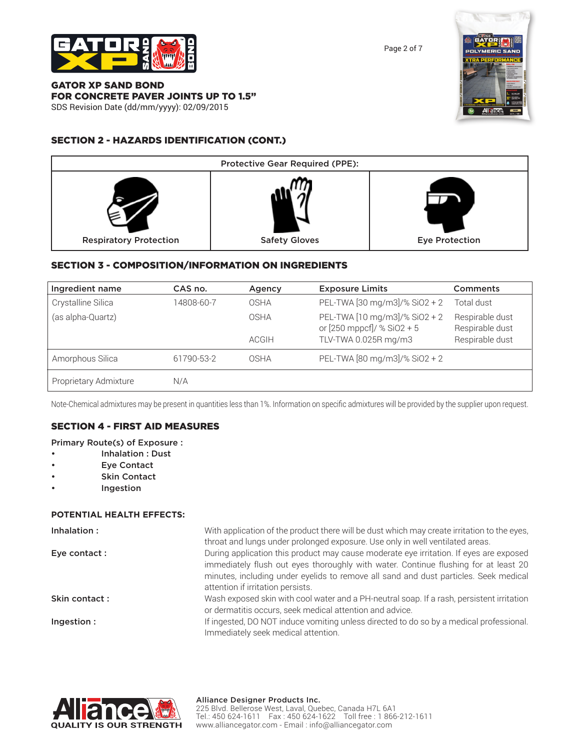

Page 2 of 7

#### GATOR XP SAND BOND FOR CONCRETE PAVER JOINTS UP TO 1.5" SDS Revision Date (dd/mm/yyyy): 02/09/2015

# SECTION 2 - HAZARDS IDENTIFICATION (CONT.)





# SECTION 3 - COMPOSITION/INFORMATION ON INGREDIENTS

| Ingredient name       | CAS no.    | Agency       | <b>Exposure Limits</b>                                      | <b>Comments</b>                    |
|-----------------------|------------|--------------|-------------------------------------------------------------|------------------------------------|
| Crystalline Silica    | 14808-60-7 | OSHA         | PEL-TWA [30 mg/m3]/% SiO2 + 2                               | Total dust                         |
| (as alpha-Quartz)     |            | OSHA         | PEL-TWA [10 mg/m3]/% SiO2 + 2<br>or [250 mppcf]/ % SiO2 + 5 | Respirable dust<br>Respirable dust |
|                       |            | <b>ACGIH</b> | TLV-TWA 0.025R mg/m3                                        | Respirable dust                    |
| Amorphous Silica      | 61790-53-2 | OSHA         | PEL-TWA [80 mg/m3]/% SiO2 + 2                               |                                    |
| Proprietary Admixture | N/A        |              |                                                             |                                    |

Note-Chemical admixtures may be present in quantities less than 1%. Information on specific admixtures will be provided by the supplier upon request.

#### SECTION 4 - FIRST AID MEASURES

#### Primary Route(s) of Exposure :

- Inhalation : Dust
- **Eye Contact**
- Skin Contact
- **Ingestion**

#### **POTENTIAL HEALTH EFFECTS:**

| Inhalation:   | With application of the product there will be dust which may create irritation to the eyes,<br>throat and lungs under prolonged exposure. Use only in well ventilated areas.                                                                                                                               |
|---------------|------------------------------------------------------------------------------------------------------------------------------------------------------------------------------------------------------------------------------------------------------------------------------------------------------------|
| Eye contact : | During application this product may cause moderate eye irritation. If eyes are exposed<br>immediately flush out eyes thoroughly with water. Continue flushing for at least 20<br>minutes, including under eyelids to remove all sand and dust particles. Seek medical<br>attention if irritation persists. |
| Skin contact: | Wash exposed skin with cool water and a PH-neutral soap. If a rash, persistent irritation<br>or dermatitis occurs, seek medical attention and advice.                                                                                                                                                      |
| Ingestion:    | If ingested, DO NOT induce vomiting unless directed to do so by a medical professional.<br>Immediately seek medical attention.                                                                                                                                                                             |

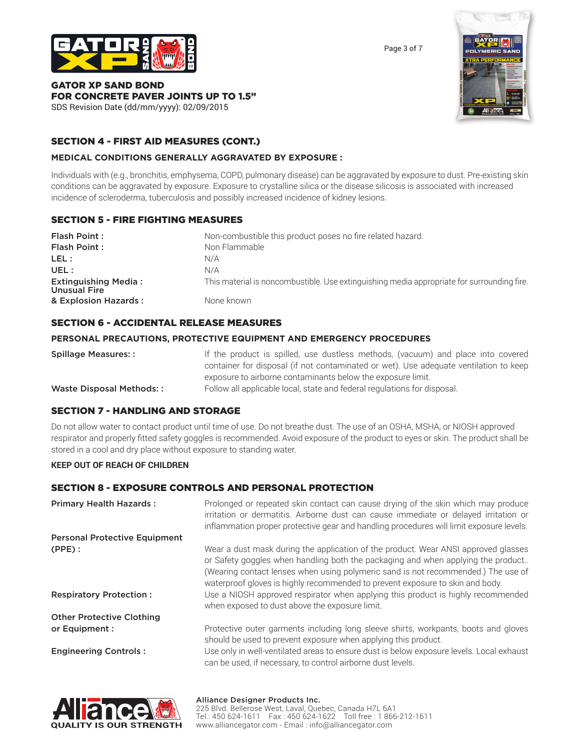

Page 3 of 7

#### GATOR XP SAND BOND FOR CONCRETE PAVER JOINTS UP TO 1.5" SDS Revision Date (dd/mm/yyyy): 02/09/2015

# SECTION 4 - FIRST AID MEASURES (CONT.)

#### **MEDICAL CONDITIONS GENERALLY AGGRAVATED BY EXPOSURE :**

Individuals with (e.g., bronchitis, emphysema, COPD, pulmonary disease) can be aggravated by exposure to dust. Pre-existing skin conditions can be aggravated by exposure. Exposure to crystalline silica or the disease silicosis is associated with increased incidence of scleroderma, tuberculosis and possibly increased incidence of kidney lesions.

# SECTION 5 - FIRE FIGHTING MEASURES

| Flash Point:                                       | Non-combustible this product poses no fire related hazard.                                 |
|----------------------------------------------------|--------------------------------------------------------------------------------------------|
| Flash Point:                                       | Non Flammable                                                                              |
| LEL :                                              | N/A                                                                                        |
| UEL:                                               | N/A                                                                                        |
| <b>Extinguishing Media:</b><br><b>Unusual Fire</b> | This material is noncombustible. Use extinguishing media appropriate for surrounding fire. |
| & Explosion Hazards:                               | None known                                                                                 |

#### SECTION 6 - ACCIDENTAL RELEASE MEASURES

#### **PERSONAL PRECAUTIONS, PROTECTIVE EQUIPMENT AND EMERGENCY PROCEDURES**

| <b>Spillage Measures::</b> | If the product is spilled, use dustless methods, (vacuum) and place into covered      |
|----------------------------|---------------------------------------------------------------------------------------|
|                            | container for disposal (if not contaminated or wet). Use adequate ventilation to keep |
|                            | exposure to airborne contaminants below the exposure limit.                           |
| Waste Disposal Methods::   | Follow all applicable local, state and federal regulations for disposal.              |

#### SECTION 7 - HANDLING AND STORAGE

Do not allow water to contact product until time of use. Do not breathe dust. The use of an OSHA, MSHA, or NIOSH approved respirator and properly fitted safety goggles is recommended. Avoid exposure of the product to eyes or skin. The product shall be stored in a cool and dry place without exposure to standing water.

#### **KEEP OUT OF REACH OF CHILDREN**

#### SECTION 8 - EXPOSURE CONTROLS AND PERSONAL PROTECTION

| <b>Primary Health Hazards:</b>              | Prolonged or repeated skin contact can cause drying of the skin which may produce<br>irritation or dermatitis. Airborne dust can cause immediate or delayed irritation or<br>inflammation proper protective gear and handling procedures will limit exposure levels.                                                                                                                                                                                                               |
|---------------------------------------------|------------------------------------------------------------------------------------------------------------------------------------------------------------------------------------------------------------------------------------------------------------------------------------------------------------------------------------------------------------------------------------------------------------------------------------------------------------------------------------|
| <b>Personal Protective Equipment</b>        |                                                                                                                                                                                                                                                                                                                                                                                                                                                                                    |
| $(PPE)$ :<br><b>Respiratory Protection:</b> | Wear a dust mask during the application of the product. Wear ANSI approved glasses<br>or Safety goggles when handling both the packaging and when applying the product<br>(Wearing contact lenses when using polymeric sand is not recommended.) The use of<br>waterproof gloves is highly recommended to prevent exposure to skin and body.<br>Use a NIOSH approved respirator when applying this product is highly recommended<br>when exposed to dust above the exposure limit. |
| <b>Other Protective Clothing</b>            |                                                                                                                                                                                                                                                                                                                                                                                                                                                                                    |
| or Equipment :                              | Protective outer garments including long sleeve shirts, workpants, boots and gloves                                                                                                                                                                                                                                                                                                                                                                                                |
|                                             | should be used to prevent exposure when applying this product.                                                                                                                                                                                                                                                                                                                                                                                                                     |
| <b>Engineering Controls:</b>                | Use only in well-ventilated areas to ensure dust is below exposure levels. Local exhaust<br>can be used, if necessary, to control airborne dust levels.                                                                                                                                                                                                                                                                                                                            |



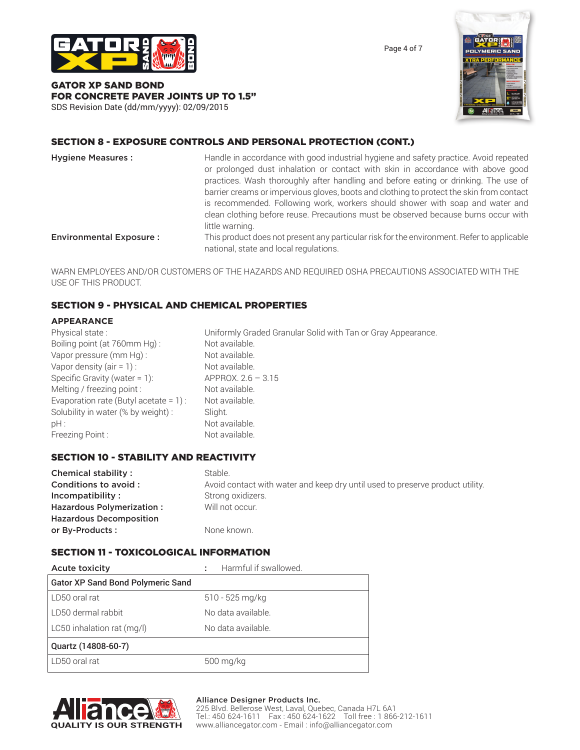

Page 4 of 7

#### GATOR XP SAND BOND FOR CONCRETE PAVER JOINTS UP TO 1.5" SDS Revision Date (dd/mm/yyyy): 02/09/2015



# SECTION 8 - EXPOSURE CONTROLS AND PERSONAL PROTECTION (CONT.)

| <b>Hygiene Measures:</b>       | Handle in accordance with good industrial hygiene and safety practice. Avoid repeated                                                |
|--------------------------------|--------------------------------------------------------------------------------------------------------------------------------------|
|                                | or prolonged dust inhalation or contact with skin in accordance with above good                                                      |
|                                | practices. Wash thoroughly after handling and before eating or drinking. The use of                                                  |
|                                | barrier creams or impervious gloves, boots and clothing to protect the skin from contact                                             |
|                                | is recommended. Following work, workers should shower with soap and water and                                                        |
|                                | clean clothing before reuse. Precautions must be observed because burns occur with                                                   |
|                                | little warning.                                                                                                                      |
| <b>Environmental Exposure:</b> | This product does not present any particular risk for the environment. Refer to applicable<br>national, state and local regulations. |

WARN EMPLOYEES AND/OR CUSTOMERS OF THE HAZARDS AND REQUIRED OSHA PRECAUTIONS ASSOCIATED WITH THE USE OF THIS PRODUCT.

#### SECTION 9 - PHYSICAL AND CHEMICAL PROPERTIES

#### **APPEARANCE**

| Physical state:                           | Uniformly Graded Granular Solid with Tan or Gray Appearance. |
|-------------------------------------------|--------------------------------------------------------------|
| Boiling point (at 760mm Hg):              | Not available.                                               |
| Vapor pressure (mm Hg):                   | Not available.                                               |
| Vapor density (air = $1$ ) :              | Not available.                                               |
| Specific Gravity (water = $1$ ):          | APPROX. $2.6 - 3.15$                                         |
| Melting / freezing point :                | Not available.                                               |
| Evaporation rate (Butyl acetate = $1$ ) : | Not available.                                               |
| Solubility in water (% by weight) :       | Slight.                                                      |
| $pH$ :                                    | Not available.                                               |
| Freezing Point:                           | Not available.                                               |

#### SECTION 10 - STABILITY AND REACTIVITY

| Chemical stability:            | Stable.                                                                       |
|--------------------------------|-------------------------------------------------------------------------------|
| Conditions to avoid :          | Avoid contact with water and keep dry until used to preserve product utility. |
| Incompatibility:               | Strong oxidizers.                                                             |
| Hazardous Polymerization:      | Will not occur.                                                               |
| <b>Hazardous Decomposition</b> |                                                                               |
| or By-Products:                | None known.                                                                   |

#### SECTION 11 - TOXICOLOGICAL INFORMATION

| <b>Acute toxicity</b>                    | Harmful if swallowed. |
|------------------------------------------|-----------------------|
| <b>Gator XP Sand Bond Polymeric Sand</b> |                       |
| LD50 oral rat                            | 510 - 525 mg/kg       |
| LD50 dermal rabbit                       | No data available.    |
| LC50 inhalation rat (mg/l)               | No data available.    |
| Quartz (14808-60-7)                      |                       |
| LD50 oral rat                            | 500 mg/kg             |



#### Alliance Designer Products Inc.

225 Blvd. Bellerose West, Laval, Quebec, Canada H7L 6A1 Tel.: 450 624-1611 Fax : 450 624-1622 Toll free : 1 866-212-1611 www.alliancegator.com - Email : info@alliancegator.com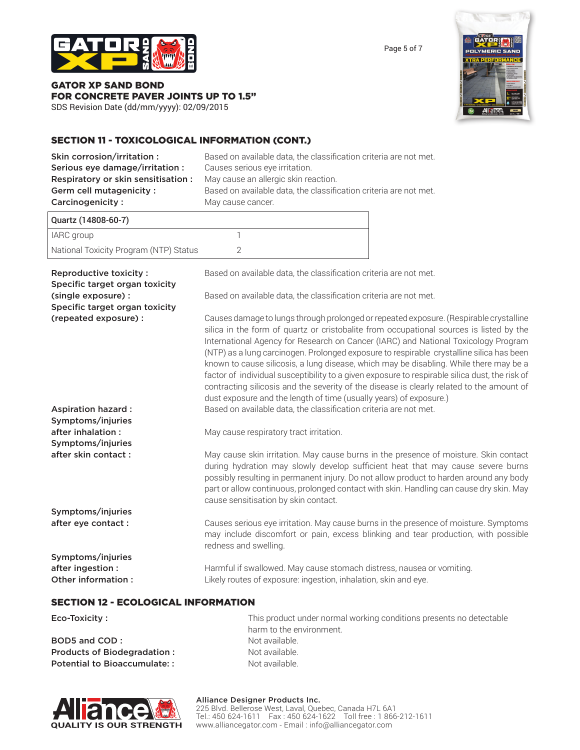

GATOR XP SAND BOND FOR CONCRETE PAVER JOINTS UP TO 1.5"

SDS Revision Date (dd/mm/yyyy): 02/09/2015

# SECTION 11 - TOXICOLOGICAL INFORMATION (CONT.)

| Skin corrosion/irritation :<br>Serious eye damage/irritation :<br>Respiratory or skin sensitisation :<br><b>Germ cell mutagenicity:</b><br>Carcinogenicity: | Based on available data, the classification criteria are not met.<br>Causes serious eye irritation.<br>May cause an allergic skin reaction.<br>Based on available data, the classification criteria are not met.<br>May cause cancer.                                                                                                                                                                                                                                                                                                                                                                                                                                                                                              |  |
|-------------------------------------------------------------------------------------------------------------------------------------------------------------|------------------------------------------------------------------------------------------------------------------------------------------------------------------------------------------------------------------------------------------------------------------------------------------------------------------------------------------------------------------------------------------------------------------------------------------------------------------------------------------------------------------------------------------------------------------------------------------------------------------------------------------------------------------------------------------------------------------------------------|--|
| Quartz (14808-60-7)                                                                                                                                         |                                                                                                                                                                                                                                                                                                                                                                                                                                                                                                                                                                                                                                                                                                                                    |  |
| IARC group                                                                                                                                                  | 1                                                                                                                                                                                                                                                                                                                                                                                                                                                                                                                                                                                                                                                                                                                                  |  |
| National Toxicity Program (NTP) Status                                                                                                                      | $\mathbf{2}$                                                                                                                                                                                                                                                                                                                                                                                                                                                                                                                                                                                                                                                                                                                       |  |
| Reproductive toxicity :<br>Specific target organ toxicity                                                                                                   | Based on available data, the classification criteria are not met.                                                                                                                                                                                                                                                                                                                                                                                                                                                                                                                                                                                                                                                                  |  |
| (single exposure) :<br>Specific target organ toxicity                                                                                                       | Based on available data, the classification criteria are not met.                                                                                                                                                                                                                                                                                                                                                                                                                                                                                                                                                                                                                                                                  |  |
| (repeated exposure) :                                                                                                                                       | Causes damage to lungs through prolonged or repeated exposure. (Respirable crystalline<br>silica in the form of quartz or cristobalite from occupational sources is listed by the<br>International Agency for Research on Cancer (IARC) and National Toxicology Program<br>(NTP) as a lung carcinogen. Prolonged exposure to respirable crystalline silica has been<br>known to cause silicosis, a lung disease, which may be disabling. While there may be a<br>factor of individual susceptibility to a given exposure to respirable silica dust, the risk of<br>contracting silicosis and the severity of the disease is clearly related to the amount of<br>dust exposure and the length of time (usually years) of exposure.) |  |
| <b>Aspiration hazard:</b>                                                                                                                                   | Based on available data, the classification criteria are not met.                                                                                                                                                                                                                                                                                                                                                                                                                                                                                                                                                                                                                                                                  |  |
| Symptoms/injuries<br>after inhalation :                                                                                                                     | May cause respiratory tract irritation.                                                                                                                                                                                                                                                                                                                                                                                                                                                                                                                                                                                                                                                                                            |  |
| Symptoms/injuries                                                                                                                                           |                                                                                                                                                                                                                                                                                                                                                                                                                                                                                                                                                                                                                                                                                                                                    |  |
| after skin contact:                                                                                                                                         | May cause skin irritation. May cause burns in the presence of moisture. Skin contact<br>during hydration may slowly develop sufficient heat that may cause severe burns<br>possibly resulting in permanent injury. Do not allow product to harden around any body<br>part or allow continuous, prolonged contact with skin. Handling can cause dry skin. May<br>cause sensitisation by skin contact.                                                                                                                                                                                                                                                                                                                               |  |
| Symptoms/injuries                                                                                                                                           |                                                                                                                                                                                                                                                                                                                                                                                                                                                                                                                                                                                                                                                                                                                                    |  |
| after eye contact :                                                                                                                                         | Causes serious eye irritation. May cause burns in the presence of moisture. Symptoms<br>may include discomfort or pain, excess blinking and tear production, with possible<br>redness and swelling.                                                                                                                                                                                                                                                                                                                                                                                                                                                                                                                                |  |
| Symptoms/injuries                                                                                                                                           |                                                                                                                                                                                                                                                                                                                                                                                                                                                                                                                                                                                                                                                                                                                                    |  |
| after ingestion :<br>Other information :                                                                                                                    | Harmful if swallowed. May cause stomach distress, nausea or vomiting.<br>Likely routes of exposure: ingestion, inhalation, skin and eye.                                                                                                                                                                                                                                                                                                                                                                                                                                                                                                                                                                                           |  |
| <b>SECTION 12 - ECOLOGICAL INFORMATION</b>                                                                                                                  |                                                                                                                                                                                                                                                                                                                                                                                                                                                                                                                                                                                                                                                                                                                                    |  |

| Eco-Toxicity :               | This product under normal working conditions presents no detectable |
|------------------------------|---------------------------------------------------------------------|
|                              | harm to the environment.                                            |
| BOD5 and COD:                | Not available.                                                      |
| Products of Biodegradation:  | Not available.                                                      |
| Potential to Bioaccumulate:: | Not available.                                                      |



Alliance Designer Products Inc. 225 Blvd. Bellerose West, Laval, Quebec, Canada H7L 6A1 Tel.: 450 624-1611 Fax : 450 624-1622 Toll free : 1 866-212-1611 www.alliancegator.com - Email : info@alliancegator.com

Page 5 of 7

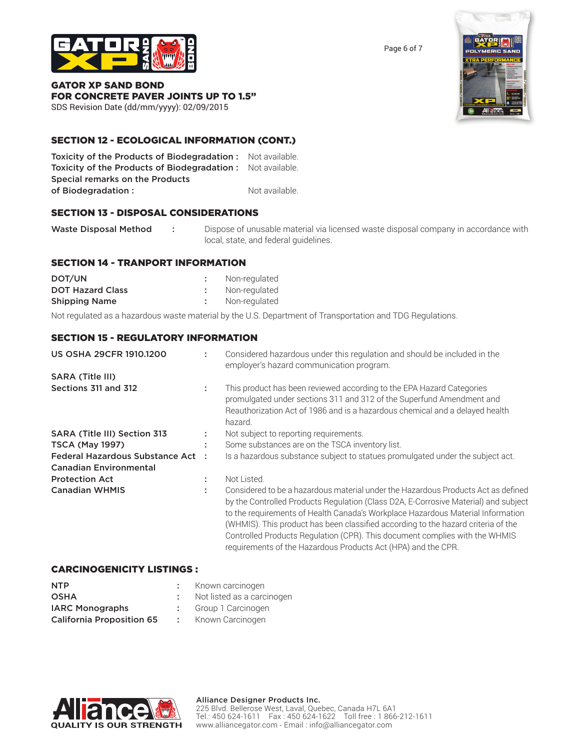

Page 6 of 7

GATOR XP SAND BOND FOR CONCRETE PAVER JOINTS UP TO 1.5"

SDS Revision Date (dd/mm/yyyy): 02/09/2015

# SECTION 12 - ECOLOGICAL INFORMATION (CONT.)

Toxicity of the Products of Biodegradation : Not available. Toxicity of the Products of Biodegradation : Not available. Special remarks on the Products of Biodegradation : Not available.

# SECTION 13 - DISPOSAL CONSIDERATIONS

Waste Disposal Method : Dispose of unusable material via licensed waste disposal company in accordance with local, state, and federal guidelines.

#### SECTION 14 - TRANPORT INFORMATION

| DOT/UN                  | Non-regulated |
|-------------------------|---------------|
| <b>DOT Hazard Class</b> | Non-regulated |
| <b>Shipping Name</b>    | Non-regulated |

Not regulated as a hazardous waste material by the U.S. Department of Transportation and TDG Regulations.

listed as a carcinogen

#### SECTION 15 - REGULATORY INFORMATION

| <b>US OSHA 29CFR 1910.1200</b>                                     | Considered hazardous under this regulation and should be included in the<br>employer's hazard communication program.                                                                                                                                                                                                                                                                                                                                                                             |
|--------------------------------------------------------------------|--------------------------------------------------------------------------------------------------------------------------------------------------------------------------------------------------------------------------------------------------------------------------------------------------------------------------------------------------------------------------------------------------------------------------------------------------------------------------------------------------|
| <b>SARA (Title III)</b>                                            |                                                                                                                                                                                                                                                                                                                                                                                                                                                                                                  |
| Sections 311 and 312                                               | This product has been reviewed according to the EPA Hazard Categories<br>promulgated under sections 311 and 312 of the Superfund Amendment and<br>Reauthorization Act of 1986 and is a hazardous chemical and a delayed health<br>hazard.                                                                                                                                                                                                                                                        |
| SARA (Title III) Section 313                                       | Not subject to reporting requirements.                                                                                                                                                                                                                                                                                                                                                                                                                                                           |
| <b>TSCA (May 1997)</b>                                             | Some substances are on the TSCA inventory list.                                                                                                                                                                                                                                                                                                                                                                                                                                                  |
| Federal Hazardous Substance Act :<br><b>Canadian Environmental</b> | Is a hazardous substance subject to statues promulgated under the subject act.                                                                                                                                                                                                                                                                                                                                                                                                                   |
| <b>Protection Act</b>                                              | Not Listed.                                                                                                                                                                                                                                                                                                                                                                                                                                                                                      |
| <b>Canadian WHMIS</b>                                              | Considered to be a hazardous material under the Hazardous Products Act as defined<br>by the Controlled Products Regulation (Class D2A, E-Corrosive Material) and subject<br>to the requirements of Health Canada's Workplace Hazardous Material Information<br>(WHMIS). This product has been classified according to the hazard criteria of the<br>Controlled Products Regulation (CPR). This document complies with the WHMIS<br>requirements of the Hazardous Products Act (HPA) and the CPR. |

#### CARCINOGENICITY LISTINGS :

| <b>NTP</b>                       | Known carcinogen       |
|----------------------------------|------------------------|
| <b>OSHA</b>                      | Not listed as a carcir |
| <b>IARC Monographs</b>           | Group 1 Carcinogen     |
| <b>California Proposition 65</b> | Known Carcinogen       |